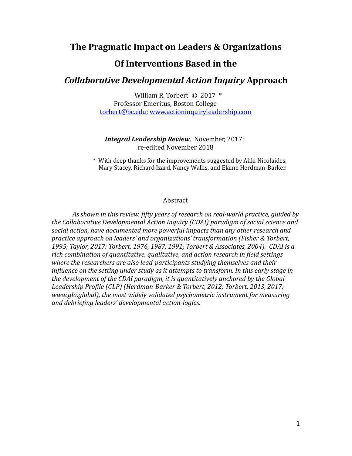# **The Pragmatic Impact on Leaders & Organizations**

## **Of Interventions Based in the**

## *Collaborative Developmental Action Inquiry* Approach

William R. Torbert  $\odot$  2017  $*$ Professor Emeritus, Boston College [torbert@bc.edu;](mailto:torbert@bc.edu) [www.actioninquiryleadership.com](http://www.actioninquiryleadership.com)  

### *Integral Leadership Review. November, 2017;* re-edited November 2018

 \* With deep thanks for the improvements suggested by Aliki Nicolaides, Mary Stacey, Richard Izard, Nancy Wallis, and Elaine Herdman-Barker.

#### Abstract

As shown in this review, fifty years of research on real-world practice, guided by the Collaborative Developmental Action Inquiry (CDAI) paradigm of social science and social action, have documented more powerful impacts than any other research and *practice approach on leaders' and organizations' transformation (Fisher & Torbert,* 1995; Taylor, 2017; Torbert, 1976, 1987, 1991; Torbert & Associates, 2004). CDAI is a rich combination of quantitative, qualitative, and action research in field settings where the researchers are also lead-participants studying themselves and their *influence on the setting under study as it attempts to transform. In this early stage in* the development of the CDAI paradigm, it is quantitatively anchored by the Global Leadership Profile (GLP) (Herdman-Barker & Torbert, 2012; Torbert, 2013, 2017; *www.gla.global), the most widely validated psychometric instrument for measuring* and debriefing leaders' developmental action-logics.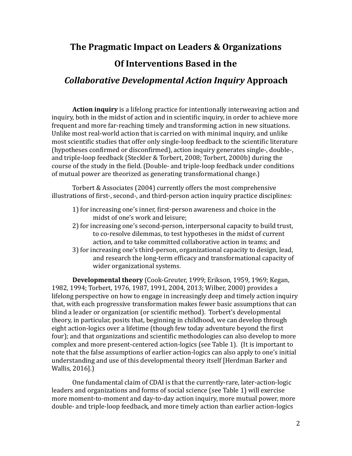# **The Pragmatic Impact on Leaders & Organizations**

# **Of Interventions Based in the**

# *Collaborative Developmental Action Inquiry* **Approach**

**Action inquiry** is a lifelong practice for intentionally interweaving action and inquiry, both in the midst of action and in scientific inquiry, in order to achieve more frequent and more far-reaching timely and transforming action in new situations. Unlike most real-world action that is carried on with minimal inquiry, and unlike most scientific studies that offer only single-loop feedback to the scientific literature (hypotheses confirmed or disconfirmed), action inquiry generates single-, double-, and triple-loop feedback (Steckler & Torbert, 2008; Torbert, 2000b) during the course of the study in the field. (Double- and triple-loop feedback under conditions of mutual power are theorized as generating transformational change.)

Torbert & Associates (2004) currently offers the most comprehensive illustrations of first-, second-, and third-person action inquiry practice disciplines:

- 1) for increasing one's inner, first-person awareness and choice in the midst of one's work and leisure;
- 2) for increasing one's second-person, interpersonal capacity to build trust, to co-resolve dilemmas, to test hypotheses in the midst of current action, and to take committed collaborative action in teams; and
- 3) for increasing one's third-person, organizational capacity to design, lead, and research the long-term efficacy and transformational capacity of wider organizational systems.

**Developmental theory** (Cook-Greuter, 1999; Erikson, 1959, 1969; Kegan, 1982, 1994; Torbert, 1976, 1987, 1991, 2004, 2013; Wilber, 2000) provides a lifelong perspective on how to engage in increasingly deep and timely action inquiry that, with each progressive transformation makes fewer basic assumptions that can blind a leader or organization (or scientific method). Torbert's developmental theory, in particular, posits that, beginning in childhood, we can develop through eight action-logics over a lifetime (though few today adventure beyond the first four); and that organizations and scientific methodologies can also develop to more complex and more present-centered action-logics (see Table 1). (It is important to note that the false assumptions of earlier action-logics can also apply to one's initial understanding and use of this developmental theory itself [Herdman Barker and Wallis, 2016].)

One fundamental claim of CDAI is that the currently-rare, later-action-logic leaders and organizations and forms of social science (see Table 1) will exercise more moment-to-moment and day-to-day action inquiry, more mutual power, more double- and triple-loop feedback, and more timely action than earlier action-logics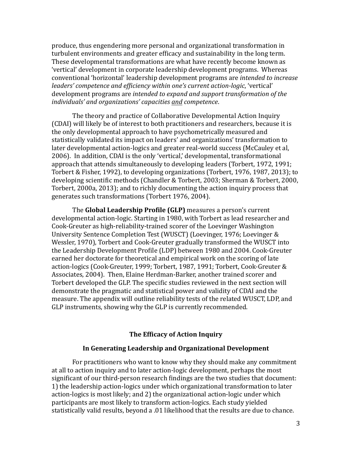produce, thus engendering more personal and organizational transformation in turbulent environments and greater efficacy and sustainability in the long term. These developmental transformations are what have recently become known as 'vertical' development in corporate leadership development programs. Whereas conventional 'horizontal' leadership development programs are *intended to increase leaders' competence and efficiency within one's current action-logic*, 'vertical' development programs are *intended to expand and support transformation of the individuals' and organizations' capacities and competence*. 

The theory and practice of Collaborative Developmental Action Inquiry (CDAI) will likely be of interest to both practitioners and researchers, because it is the only developmental approach to have psychometrically measured and statistically validated its impact on leaders' and organizations' transformation to later developmental action-logics and greater real-world success (McCauley et al, 2006). In addition, CDAI is the only 'vertical,' developmental, transformational approach that attends simultaneously to developing leaders (Torbert, 1972, 1991: Torbert & Fisher, 1992), to developing organizations (Torbert, 1976, 1987, 2013); to developing scientific methods (Chandler & Torbert, 2003; Sherman & Torbert, 2000, Torbert, 2000a, 2013); and to richly documenting the action inquiry process that generates such transformations (Torbert 1976, 2004).

The **Global Leadership Profile (GLP)** measures a person's current developmental action-logic. Starting in 1980, with Torbert as lead researcher and Cook-Greuter as high-reliability-trained scorer of the Loevinger Washington University Sentence Completion Test (WUSCT) (Loevinger, 1976; Loevinger & Wessler, 1970), Torbert and Cook-Greuter gradually transformed the WUSCT into the Leadership Development Profile (LDP) between 1980 and 2004. Cook-Greuter earned her doctorate for theoretical and empirical work on the scoring of late action-logics (Cook-Greuter, 1999; Torbert, 1987, 1991; Torbert, Cook-Greuter & Associates, 2004). Then, Elaine Herdman-Barker, another trained scorer and Torbert developed the GLP. The specific studies reviewed in the next section will demonstrate the pragmatic and statistical power and validity of CDAI and the measure. The appendix will outline reliability tests of the related WUSCT, LDP, and GLP instruments, showing why the GLP is currently recommended.

## **The Efficacy of Action Inquiry**

### In Generating Leadership and Organizational Development

For practitioners who want to know why they should make any commitment at all to action inquiry and to later action-logic development, perhaps the most significant of our third-person research findings are the two studies that document: 1) the leadership action-logics under which organizational transformation to later action-logics is most likely; and 2) the organizational action-logic under which participants are most likely to transform action-logics. Each study yielded statistically valid results, beyond a .01 likelihood that the results are due to chance.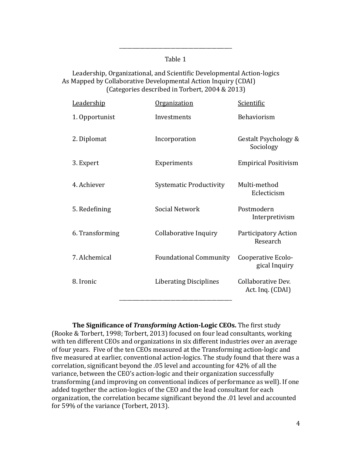### Table 1

\_\_\_\_\_\_\_\_\_\_\_\_\_\_\_\_\_\_\_\_\_\_\_\_\_\_\_\_\_\_\_\_\_\_\_\_\_\_\_\_\_\_\_\_ 

### Leadership, Organizational, and Scientific Developmental Action-logics As Mapped by Collaborative Developmental Action Inquiry (CDAI) (Categories described in Torbert,  $2004 \& 2013$ )

| Behaviorism<br>1. Opportunist<br>Investments<br>2. Diplomat<br>Incorporation<br>Sociology<br>3. Expert<br>Experiments<br>4. Achiever<br>Multi-method<br><b>Systematic Productivity</b><br>Eclecticism<br><b>Social Network</b><br>Postmodern<br>5. Redefining<br>Collaborative Inquiry<br>6. Transforming<br>Research<br>7. Alchemical<br><b>Foundational Community</b><br>Cooperative Ecolo-<br>8. Ironic<br><b>Liberating Disciplines</b><br>Collaborative Dev.<br>Act. Ing. (CDAI) | Leadership | <b>Organization</b> | Scientific                  |
|---------------------------------------------------------------------------------------------------------------------------------------------------------------------------------------------------------------------------------------------------------------------------------------------------------------------------------------------------------------------------------------------------------------------------------------------------------------------------------------|------------|---------------------|-----------------------------|
|                                                                                                                                                                                                                                                                                                                                                                                                                                                                                       |            |                     |                             |
|                                                                                                                                                                                                                                                                                                                                                                                                                                                                                       |            |                     | Gestalt Psychology &        |
|                                                                                                                                                                                                                                                                                                                                                                                                                                                                                       |            |                     | <b>Empirical Positivism</b> |
|                                                                                                                                                                                                                                                                                                                                                                                                                                                                                       |            |                     |                             |
|                                                                                                                                                                                                                                                                                                                                                                                                                                                                                       |            |                     | Interpretivism              |
|                                                                                                                                                                                                                                                                                                                                                                                                                                                                                       |            |                     | <b>Participatory Action</b> |
|                                                                                                                                                                                                                                                                                                                                                                                                                                                                                       |            |                     | gical Inquiry               |
|                                                                                                                                                                                                                                                                                                                                                                                                                                                                                       |            |                     |                             |

**The Significance of** *Transforming* **Action-Logic CEOs.** The first study (Rooke & Torbert, 1998; Torbert, 2013) focused on four lead consultants, working with ten different CEOs and organizations in six different industries over an average of four years. Five of the ten CEOs measured at the Transforming action-logic and five measured at earlier, conventional action-logics. The study found that there was a correlation, significant beyond the  $.05$  level and accounting for  $42\%$  of all the variance, between the CEO's action-logic and their organization successfully transforming (and improving on conventional indices of performance as well). If one added together the action-logics of the CEO and the lead consultant for each organization, the correlation became significant beyond the .01 level and accounted for 59% of the variance (Torbert, 2013).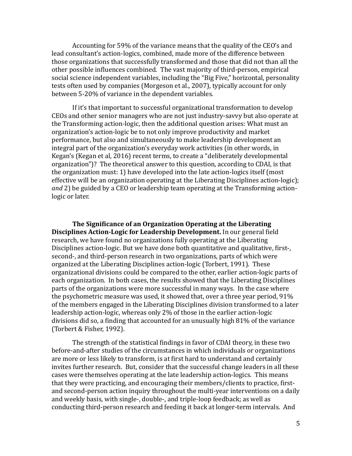Accounting for 59% of the variance means that the quality of the CEO's and lead consultant's action-logics, combined, made more of the difference between those organizations that successfully transformed and those that did not than all the other possible influences combined. The vast majority of third-person, empirical social science independent variables, including the "Big Five," horizontal, personality tests often used by companies (Morgeson et al., 2007), typically account for only between 5-20% of variance in the dependent variables.

If it's that important to successful organizational transformation to develop CEOs and other senior managers who are not just industry-savvy but also operate at the Transforming action-logic, then the additional question arises: What must an organization's action-logic be to not only improve productivity and market performance, but also and simultaneously to make leadership development an integral part of the organization's everyday work activities (in other words, in Kegan's (Kegan et al, 2016) recent terms, to create a "deliberately developmental organization")? The theoretical answer to this question, according to CDAI, is that the organization must: 1) have developed into the late action-logics itself (most effective will be an organization operating at the Liberating Disciplines action-logic); and 2) be guided by a CEO or leadership team operating at the Transforming actionlogic or later.

The Significance of an Organization Operating at the Liberating **Disciplines Action-Logic for Leadership Development.** In our general field research, we have found no organizations fully operating at the Liberating Disciplines action-logic. But we have done both quantitative and qualitative, first-, second-, and third-person research in two organizations, parts of which were organized at the Liberating Disciplines action-logic (Torbert, 1991). These organizational divisions could be compared to the other, earlier action-logic parts of each organization. In both cases, the results showed that the Liberating Disciplines parts of the organizations were more successful in many ways. In the case where the psychometric measure was used, it showed that, over a three year period,  $91\%$ of the members engaged in the Liberating Disciplines division transformed to a later leadership action-logic, whereas only 2% of those in the earlier action-logic divisions did so, a finding that accounted for an unusually high  $81\%$  of the variance (Torbert & Fisher, 1992).

The strength of the statistical findings in favor of CDAI theory, in these two before-and-after studies of the circumstances in which individuals or organizations are more or less likely to transform, is at first hard to understand and certainly invites further research. But, consider that the successful change leaders in all these cases were themselves operating at the late leadership action-logics. This means that they were practicing, and encouraging their members/clients to practice, firstand second-person action inquiry throughout the multi-year interventions on a daily and weekly basis, with single-, double-, and triple-loop feedback; as well as conducting third-person research and feeding it back at longer-term intervals. And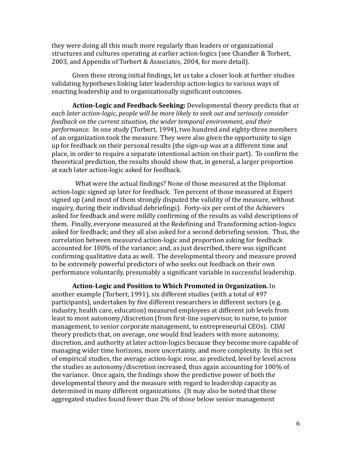they were doing all this much more regularly than leaders or organizational structures and cultures operating at earlier action-logics (see Chandler & Torbert, 2003, and Appendix of Torbert & Associates, 2004, for more detail).

Given these strong initial findings, let us take a closer look at further studies validating hypotheses linking later leadership action-logics to various ways of enacting leadership and to organizationally significant outcomes.

**Action-Logic and Feedback-Seeking:** Developmental theory predicts that *at* each *later action-logic, people will be more likely to seek out and seriously consider feedback on the current situation, the wider temporal environment, and their performance*. In one study (Torbert, 1994), two hundred and eighty-three members of an organization took the measure. They were also given the opportunity to sign up for feedback on their personal results (the sign-up was at a different time and place, in order to require a separate intentional action on their part). To confirm the theoretical prediction, the results should show that, in general, a larger proportion at each later action-logic asked for feedback.

What were the actual findings? None of those measured at the Diplomat action-logic signed up later for feedback. Ten percent of those measured at Expert signed up (and most of them strongly disputed the validity of the measure, without inquiry, during their individual debriefings). Forty-six per cent of the Achievers asked for feedback and were mildly confirming of the results as valid descriptions of them. Finally, everyone measured at the Redefining and Transforming action-logics asked for feedback; and they all also asked for a second debriefing session. Thus, the correlation between measured action-logic and proportion asking for feedback accounted for 100% of the variance; and, as just described, there was significant confirming qualitative data as well. The developmental theory and measure proved to be extremely powerful predictors of who seeks out feedback on their own performance voluntarily, presumably a significant variable in successful leadership.

**Action-Logic and Position to Which Promoted in Organization.** In another example (Torbert, 1991), six different studies (with a total of 497 participants), undertaken by five different researchers in different sectors (e.g. industry, health care, education) measured employees at different job levels from least to most autonomy/discretion (from first-line supervisor, to nurse, to junior management, to senior corporate management, to entrepreneurial CEOs). CDAI theory predicts that, on average, one would find leaders with more autonomy, discretion, and authority at later action-logics because they become more capable of managing wider time horizons, more uncertainty, and more complexity. In this set of empirical studies, the average action-logic rose, as predicted, level by level across the studies as autonomy/discretion increased, thus again accounting for  $100\%$  of the variance. Once again, the findings show the predictive power of both the developmental theory and the measure with regard to leadership capacity as determined in many different organizations. (It may also be noted that these aggregated studies found fewer than 2% of those below senior management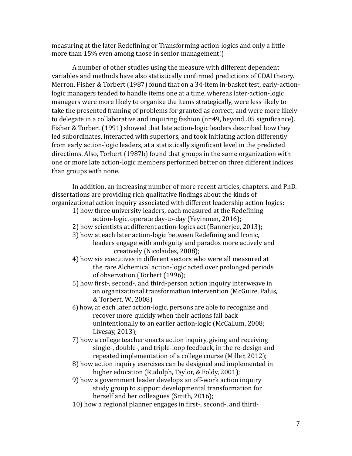measuring at the later Redefining or Transforming action-logics and only a little more than 15% even among those in senior management!)

A number of other studies using the measure with different dependent variables and methods have also statistically confirmed predictions of CDAI theory. Merron, Fisher & Torbert (1987) found that on a 34-item in-basket test, early-actionlogic managers tended to handle items one at a time, whereas later-action-logic managers were more likely to organize the items strategically, were less likely to take the presented framing of problems for granted as correct, and were more likely to delegate in a collaborative and inquiring fashion  $(n=49)$ , beyond .05 significance). Fisher & Torbert (1991) showed that late action-logic leaders described how they led subordinates, interacted with superiors, and took initiating action differently from early action-logic leaders, at a statistically significant level in the predicted directions. Also, Torbert (1987b) found that groups in the same organization with one or more late action-logic members performed better on three different indices than groups with none.

In addition, an increasing number of more recent articles, chapters, and PhD. dissertations are providing rich qualitative findings about the kinds of organizational action inquiry associated with different leadership action-logics:

- 1) how three university leaders, each measured at the Redefining action-logic, operate day-to-day (Yeyinmen, 2016);
- 2) how scientists at different action-logics act (Bannerjee, 2013);
- 3) how at each later action-logic between Redefining and Ironic,

leaders engage with ambiguity and paradox more actively and creatively (Nicolaides, 2008);

- 4) how six executives in different sectors who were all measured at the rare Alchemical action-logic acted over prolonged periods of observation (Torbert (1996);
- 5) how first-, second-, and third-person action inquiry interweave in an organizational transformation intervention (McGuire, Palus, & Torbert, W., 2008)
- 6) how, at each later action-logic, persons are able to recognize and recover more quickly when their actions fall back unintentionally to an earlier action-logic (McCallum, 2008; Livesay, 2013);
- 7) how a college teacher enacts action inquiry, giving and receiving single-, double-, and triple-loop feedback, in the re-design and repeated implementation of a college course (Miller, 2012);
- 8) how action inquiry exercises can be designed and implemented in higher education (Rudolph, Taylor, & Foldy, 2001);

9) how a government leader develops an off-work action inquiry study group to support developmental transformation for herself and her colleagues (Smith, 2016);

10) how a regional planner engages in first-, second-, and third-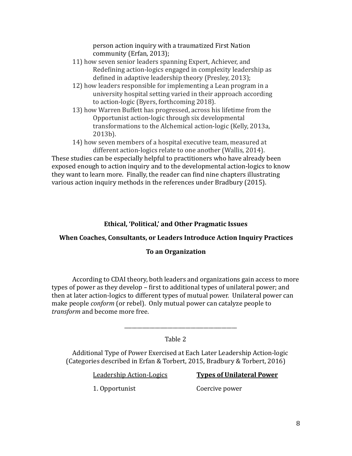person action inquiry with a traumatized First Nation community (Erfan, 2013);

- 11) how seven senior leaders spanning Expert, Achiever, and Redefining action-logics engaged in complexity leadership as defined in adaptive leadership theory (Presley, 2013);
- 12) how leaders responsible for implementing a Lean program in a university hospital setting varied in their approach according to action-logic (Byers, forthcoming 2018).
- 13) how Warren Buffett has progressed, across his lifetime from the Opportunist action-logic through six developmental transformations to the Alchemical action-logic (Kelly, 2013a, 2013b).
	- 14) how seven members of a hospital executive team, measured at different action-logics relate to one another (Wallis, 2014).

These studies can be especially helpful to practitioners who have already been exposed enough to action inquiry and to the developmental action-logics to know they want to learn more. Finally, the reader can find nine chapters illustrating various action inquiry methods in the references under Bradbury (2015).

## Ethical, 'Political,' and Other Pragmatic Issues

## **When Coaches, Consultants, or Leaders Introduce Action Inquiry Practices**

## **To an Organization**

According to CDAI theory, both leaders and organizations gain access to more types of power as they develop – first to additional types of unilateral power; and then at later action-logics to different types of mutual power. Unilateral power can make people *conform* (or rebel). Only mutual power can catalyze people to *transform* and become more free.

## Table 2

Additional Type of Power Exercised at Each Later Leadership Action-logic (Categories described in Erfan & Torbert, 2015, Bradbury & Torbert, 2016)

 $\overline{\phantom{a}}$  ,  $\overline{\phantom{a}}$  ,  $\overline{\phantom{a}}$  ,  $\overline{\phantom{a}}$  ,  $\overline{\phantom{a}}$  ,  $\overline{\phantom{a}}$  ,  $\overline{\phantom{a}}$  ,  $\overline{\phantom{a}}$  ,  $\overline{\phantom{a}}$  ,  $\overline{\phantom{a}}$  ,  $\overline{\phantom{a}}$  ,  $\overline{\phantom{a}}$  ,  $\overline{\phantom{a}}$  ,  $\overline{\phantom{a}}$  ,  $\overline{\phantom{a}}$  ,  $\overline{\phantom{a}}$ 

## Leadership Action-Logics **Types of Unilateral Power**

1. Opportunist **Coercive power**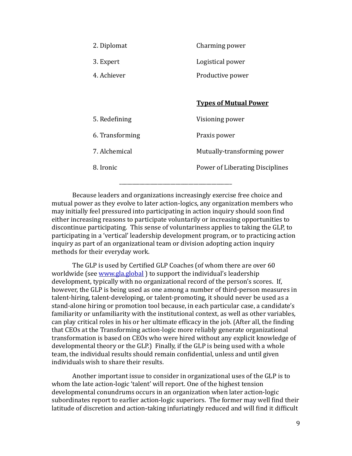| 2. Diplomat     | Charming power                  |
|-----------------|---------------------------------|
| 3. Expert       | Logistical power                |
| 4. Achiever     | Productive power                |
|                 |                                 |
|                 | <b>Types of Mutual Power</b>    |
| 5. Redefining   | Visioning power                 |
| 6. Transforming | Praxis power                    |
| 7. Alchemical   | Mutually-transforming power     |
| 8. Ironic       | Power of Liberating Disciplines |
|                 |                                 |

Because leaders and organizations increasingly exercise free choice and mutual power as they evolve to later action-logics, any organization members who may initially feel pressured into participating in action inquiry should soon find either increasing reasons to participate voluntarily or increasing opportunities to discontinue participating. This sense of voluntariness applies to taking the GLP, to participating in a 'vertical' leadership development program, or to practicing action inquiry as part of an organizational team or division adopting action inquiry methods for their everyday work.

\_\_\_\_\_\_\_\_\_\_\_\_\_\_\_\_\_\_\_\_\_\_\_\_\_\_\_\_\_\_\_\_\_\_\_\_\_\_\_\_\_\_\_\_ 

The GLP is used by Certified GLP Coaches (of whom there are over 60 worldwide (see [www.gla.global](http://www.gla.global)) to support the individual's leadership development, typically with no organizational record of the person's scores. If, however, the GLP is being used as one among a number of third-person measures in talent-hiring, talent-developing, or talent-promoting, it should never be used as a stand-alone hiring or promotion tool because, in each particular case, a candidate's familiarity or unfamiliarity with the institutional context, as well as other variables, can play critical roles in his or her ultimate efficacy in the job. (After all, the finding that CEOs at the Transforming action-logic more reliably generate organizational transformation is based on CEOs who were hired without any explicit knowledge of developmental theory or the GLP.) Finally, if the GLP is being used with a whole team, the individual results should remain confidential, unless and until given individuals wish to share their results.

Another important issue to consider in organizational uses of the GLP is to whom the late action-logic 'talent' will report. One of the highest tension developmental conundrums occurs in an organization when later action-logic subordinates report to earlier action-logic superiors. The former may well find their latitude of discretion and action-taking infuriatingly reduced and will find it difficult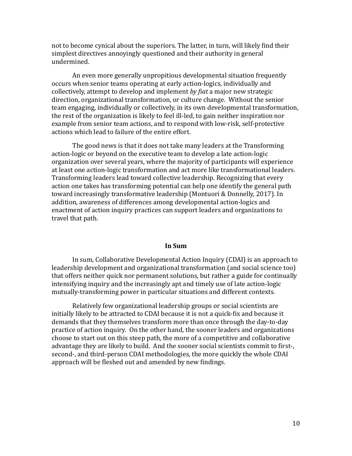not to become cynical about the superiors. The latter, in turn, will likely find their simplest directives annoyingly questioned and their authority in general undermined. 

An even more generally unpropitious developmental situation frequently occurs when senior teams operating at early action-logics, individually and collectively, attempt to develop and implement by fiat a major new strategic direction, organizational transformation, or culture change. Without the senior team engaging, individually or collectively, in its own developmental transformation, the rest of the organization is likely to feel ill-led, to gain neither inspiration nor example from senior team actions, and to respond with low-risk, self-protective actions which lead to failure of the entire effort.

The good news is that it does not take many leaders at the Transforming action-logic or beyond on the executive team to develop a late action-logic organization over several years, where the majority of participants will experience at least one action-logic transformation and act more like transformational leaders. Transforming leaders lead toward collective leadership. Recognizing that every action one takes has transforming potential can help one identify the general path toward increasingly transformative leadership (Montuori & Donnelly, 2017). In addition, awareness of differences among developmental action-logics and enactment of action inquiry practices can support leaders and organizations to travel that path.

#### **In Sum**

In sum, Collaborative Developmental Action Inquiry (CDAI) is an approach to leadership development and organizational transformation (and social science too) that offers neither quick nor permanent solutions, but rather a guide for continually intensifying inquiry and the increasingly apt and timely use of late action-logic mutually-transforming power in particular situations and different contexts.

Relatively few organizational leadership groups or social scientists are initially likely to be attracted to CDAI because it is not a quick-fix and because it demands that they themselves transform more than once through the day-to-day practice of action inquiry. On the other hand, the sooner leaders and organizations choose to start out on this steep path, the more of a competitive and collaborative advantage they are likely to build. And the sooner social scientists commit to first-, second-, and third-person CDAI methodologies, the more quickly the whole CDAI approach will be fleshed out and amended by new findings.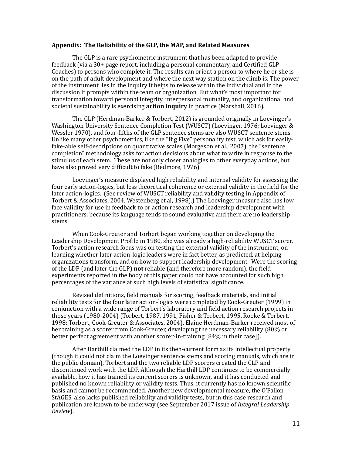#### Appendix: The Reliability of the GLP, the MAP, and Related Measures

The GLP is a rare psychometric instrument that has been adapted to provide feedback (via a 30+ page report, including a personal commentary, and Certified GLP Coaches) to persons who complete it. The results can orient a person to where he or she is on the path of adult development and where the next way station on the climb is. The power of the instrument lies in the inquiry it helps to release within the individual and in the discussion it prompts within the team or organization. But what's most important for transformation toward personal integrity, interpersonal mutuality, and organizational and societal sustainability is exercising **action inquiry** in practice (Marshall, 2016).

The GLP (Herdman-Barker & Torbert, 2012) is grounded originally in Loevinger's Washington University Sentence Completion Test (WUSCT) (Loevinger, 1976; Loevinger & Wessler 1970), and four-fifths of the GLP sentence stems are also WUSCT sentence stems. Unlike many other psychometrics, like the "Big Five" personality test, which ask for easilyfake-able self-descriptions on quantitative scales (Morgeson et al., 2007), the "sentence completion" methodology asks for action decisions about what to write in response to the stimulus of each stem. These are not only closer analogies to other everyday actions, but have also proved very difficult to fake (Redmore, 1976).

Loevinger's measure displayed high reliability and internal validity for assessing the four early action-logics, but less theoretical coherence or external validity in the field for the later action-logics. (See review of WUSCT reliability and validity testing in Appendix of Torbert & Associates, 2004, Westenberg et al, 1998).) The Loevinger measure also has low face validity for use in feedback to or action research and leadership development with practitioners, because its language tends to sound evaluative and there are no leadership stems. 

When Cook-Greuter and Torbert began working together on developing the Leadership Development Profile in 1980, she was already a high-reliability WUSCT scorer. Torbert's action research focus was on testing the external validity of the instrument, on learning whether later action-logic leaders were in fact better, as predicted, at helping organizations transform, and on how to support leadership development. Were the scoring of the LDP (and later the GLP) **not** reliable (and therefore more random), the field experiments reported in the body of this paper could not have accounted for such high percentages of the variance at such high levels of statistical significance.

Revised definitions, field manuals for scoring, feedback materials, and initial reliability tests for the four later action-logics were completed by Cook-Greuter (1999) in conjunction with a wide range of Torbert's laboratory and field action research projects in those years  $(1980-2004)$  (Torbert, 1987, 1991, Fisher & Torbert, 1995, Rooke & Torbert, 1998; Torbert, Cook-Greuter & Associates, 2004). Elaine Herdman-Barker received most of her training as a scorer from Cook-Greuter, developing the necessary reliability (80% or better perfect agreement with another scorer-in-training [84% in their case]).

After Harthill claimed the LDP in its then-current form as its intellectual property (though it could not claim the Loevinger sentence stems and scoring manuals, which are in the public domain), Torbert and the two reliable LDP scorers created the GLP and discontinued work with the LDP. Although the Harthill LDP continues to be commercially available, how it has trained its current scorers is unknown, and it has conducted and published no known reliability or validity tests. Thus, it currently has no known scientific basis and cannot be recommended. Another new developmental measure, the O'Fallon StAGES, also lacks published reliability and validity tests, but in this case research and publication are known to be underway (see September 2017 issue of *Integral Leadership Review*).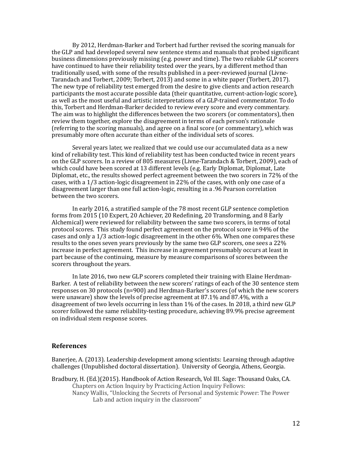By 2012, Herdman-Barker and Torbert had further revised the scoring manuals for the GLP and had developed several new sentence stems and manuals that probed significant business dimensions previously missing (e.g. power and time). The two reliable GLP scorers have continued to have their reliability tested over the years, by a different method than traditionally used, with some of the results published in a peer-reviewed journal (Livne-Tarandach and Torbert, 2009; Torbert, 2013) and some in a white paper (Torbert, 2017). The new type of reliability test emerged from the desire to give clients and action research participants the most accurate possible data (their quantitative, current-action-logic score), as well as the most useful and artistic interpretations of a GLP-trained commentator. To do this, Torbert and Herdman-Barker decided to review every score and every commentary. The aim was to highlight the differences between the two scorers (or commentators), then review them together, explore the disagreement in terms of each person's rationale (referring to the scoring manuals), and agree on a final score (or commentary), which was presumably more often accurate than either of the individual sets of scores.

Several years later, we realized that we could use our accumulated data as a new kind of reliability test. This kind of reliability test has been conducted twice in recent years on the GLP scorers. In a review of 805 measures (Livne-Tarandach & Torbert, 2009), each of which could have been scored at 13 different levels (e.g. Early Diplomat, Diplomat, Late Diplomat, etc., the results showed perfect agreement between the two scorers in 72% of the cases, with a  $1/3$  action-logic disagreement in  $22%$  of the cases, with only one case of a disagreement larger than one full action-logic, resulting in a .96 Pearson correlation between the two scorers.

In early 2016, a stratified sample of the 78 most recent GLP sentence completion forms from 2015 (10 Expert, 20 Achiever, 20 Redefining, 20 Transforming, and 8 Early Alchemical) were reviewed for reliability between the same two scorers, in terms of total protocol scores. This study found perfect agreement on the protocol score in 94% of the cases and only a  $1/3$  action-logic disagreement in the other  $6\%$ . When one compares these results to the ones seven years previously by the same two GLP scorers, one sees a 22% increase in perfect agreement. This increase in agreement presumably occurs at least in part because of the continuing, measure by measure comparisons of scores between the scorers throughout the years.

In late 2016, two new GLP scorers completed their training with Elaine Herdman-Barker. A test of reliability between the new scorers' ratings of each of the 30 sentence stem responses on 30 protocols  $(n=900)$  and Herdman-Barker's scores (of which the new scorers were unaware) show the levels of precise agreement at  $87.1\%$  and  $87.4\%$ , with a disagreement of two levels occurring in less than  $1\%$  of the cases. In 2018, a third new GLP scorer followed the same reliability-testing procedure, achieving 89.9% precise agreement on individual stem response scores.

#### **References**

Banerjee, A. (2013). Leadership development among scientists: Learning through adaptive challenges (Unpublished doctoral dissertation). University of Georgia, Athens, Georgia.

Bradbury, H. (Ed.)(2015). Handbook of Action Research, Vol III. Sage: Thousand Oaks, CA. Chapters on Action Inquiry by Practicing Action Inquiry Fellows: Nancy Wallis, "Unlocking the Secrets of Personal and Systemic Power: The Power Lab and action inquiry in the classroom"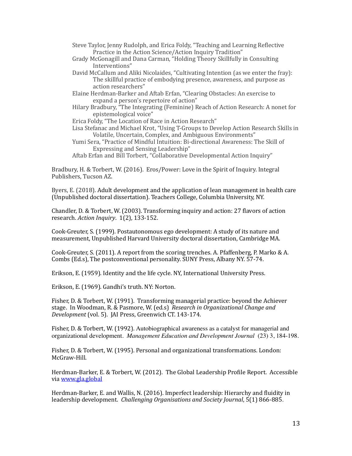- Steve Taylor, Jenny Rudolph, and Erica Foldy, "Teaching and Learning Reflective Practice in the Action Science/Action Inquiry Tradition"
- Grady McGonagill and Dana Carman, "Holding Theory Skillfully in Consulting Interventions"
- David McCallum and Aliki Nicolaides, "Cultivating Intention (as we enter the fray): The skillful practice of embodying presence, awareness, and purpose as action researchers"
- Elaine Herdman-Barker and Aftab Erfan, "Clearing Obstacles: An exercise to expand a person's repertoire of action"
- Hilary Bradbury, "The Integrating (Feminine) Reach of Action Research: A nonet for epistemological voice"
- Erica Foldy, "The Location of Race in Action Research"
- Lisa Stefanac and Michael Krot, "Using T-Groups to Develop Action Research Skills in Volatile, Uncertain, Complex, and Ambiguous Environments"
- Yumi Sera, "Practice of Mindful Intuition: Bi-directional Awareness: The Skill of Expressing and Sensing Leadership"
- Aftab Erfan and Bill Torbert, "Collaborative Developmental Action Inquiry"

Bradbury, H. & Torbert, W. (2016). Eros/Power: Love in the Spirit of Inquiry. Integral Publishers, Tucson AZ.

Byers, E. (2018). Adult development and the application of lean management in health care (Unpublished doctoral dissertation). Teachers College, Columbia University, NY.

Chandler, D. & Torbert, W. (2003). Transforming inquiry and action:  $27$  flavors of action research. *Action Inquiry.* 1(2), 133-152.

Cook-Greuter, S. (1999). Postautonomous ego development: A study of its nature and measurement, Unpublished Harvard University doctoral dissertation, Cambridge MA.

Cook-Greuter, S. (2011). A report from the scoring trenches. A. Pfaffenberg, P. Marko & A. Combs (Ed.s), The postconventional personality. SUNY Press, Albany NY. 57-74.

Erikson, E. (1959). Identity and the life cycle. NY, International University Press.

Erikson, E. (1969). Gandhi's truth. NY: Norton.

Fisher, D. & Torbert, W. (1991). Transforming managerial practice: beyond the Achiever stage. In Woodman, R. & Pasmore, W. (ed.s) Research in Organizational Change and *Development* (vol. 5). [AI Press, Greenwich CT. 143-174.]

Fisher, D. & Torbert, W. (1992). Autobiographical awareness as a catalyst for managerial and organizational development. *Management Education and Development Journal* (23) 3, 184-198.

Fisher, D. & Torbert, W. (1995). Personal and organizational transformations. London: McGraw-Hill.

Herdman-Barker, E. & Torbert, W. (2012). The Global Leadership Profile Report. Accessible via www.gla.global

Herdman-Barker, E. and Wallis, N. (2016). Imperfect leadership: Hierarchy and fluidity in leadership development. *Challenging Organisations and Society Journal*, 5(1) 866-885.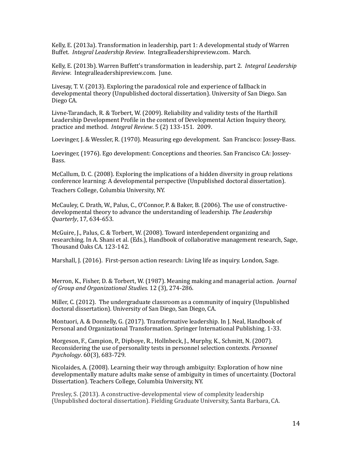Kelly, E. (2013a). Transformation in leadership, part 1: A developmental study of Warren Buffet. *Integral Leadership Review.* Integralleadershipreview.com. March.

Kelly, E. (2013b). Warren Buffett's transformation in leadership, part 2. *Integral Leadership Review.* Integralleadershipreview.com. June.

Livesay, T. V. (2013). Exploring the paradoxical role and experience of fallback in developmental theory (Unpublished doctoral dissertation). University of San Diego. San Diego CA.

Livne-Tarandach, R. & Torbert, W. (2009). Reliability and validity tests of the Harthill Leadership Development Profile in the context of Developmental Action Inquiry theory, practice and method. *Integral Review*. 5 (2) 133-151. 2009.

Loevinger, J. & Wessler, R. (1970). Measuring ego development. San Francisco: Jossey-Bass.

Loevinger, (1976). Ego development: Conceptions and theories. San Francisco CA: Jossey-Bass. 

McCallum, D. C. (2008). Exploring the implications of a hidden diversity in group relations conference learning: A developmental perspective (Unpublished doctoral dissertation). Teachers College, Columbia University, NY.

McCauley, C. Drath, W., Palus, C., O'Connor, P. & Baker, B. (2006). The use of constructivedevelopmental theory to advance the understanding of leadership. The Leadership *Quarterly*, 17, 634-653.

McGuire, J., Palus, C. & Torbert, W. (2008). Toward interdependent organizing and researching. In A. Shani et al. (Eds.), Handbook of collaborative management research, Sage, Thousand Oaks CA, 123-142.

Marshall, J. (2016). First-person action research: Living life as inquiry. London, Sage.

Merron, K., Fisher, D. & Torbert, W. (1987). Meaning making and managerial action. *Journal of Group and Organizational Studies*. 12 (3), 274-286. 

Miller, C. (2012). The undergraduate classroom as a community of inquiry (Unpublished doctoral dissertation). University of San Diego, San Diego, CA.

Montuori, A. & Donnelly, G. (2017). Transformative leadership. In J. Neal, Handbook of Personal and Organizational Transformation. Springer International Publishing. 1-33.

Morgeson, F., Campion, P., Dipboye, R., Hollnbeck, J., Murphy, K., Schmitt, N. (2007). Reconsidering the use of personality tests in personnel selection contexts. *Personnel Psychology*. 60(3), 683-729. 

Nicolaides, A. (2008). Learning their way through ambiguity: Exploration of how nine developmentally mature adults make sense of ambiguity in times of uncertainty. (Doctoral Dissertation). Teachers College, Columbia University, NY.

Presley, S. (2013). A constructive-developmental view of complexity leadership (Unpublished doctoral dissertation). Fielding Graduate University, Santa Barbara, CA.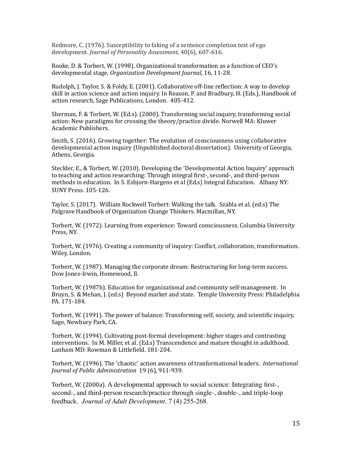Redmore, C. (1976). Susceptibility to faking of a sentence completion test of ego development. *Journal of Personality Assessment*, 40(6), 607-616.

Rooke, D. & Torbert, W. (1998). Organizational transformation as a function of CEO's developmental stage, *Organization Development Journal*, 16, 11-28.

Rudolph, I. Taylor, S. & Foldy, E. (2001). Collaborative off-line reflection: A way to develop skill in action science and action inquiry. In Reason, P. and Bradbury, H. (Eds.), Handbook of action research, Sage Publications, London. 405-412.

Sherman, F. & Torbert, W. (Ed.s). (2000). Transforming social inquiry, transforming social action: New paradigms for crossing the theory/practice divide. Norwell MA: Kluwer Academic Publishers.

Smith, S. (2016). Growing together: The evolution of consciousness using collaborative developmental action inquiry (Unpublished doctoral dissertation). University of Georgia, Athens, Georgia.

Steckler, E., & Torbert, W. (2010). Developing the 'Developmental Action Inquiry' approach to teaching and action researching: Through integral first-, second-, and third-person methods in education. In S. Esbjorn-Hargens et al (Ed.s) Integral Education. Albany NY: SUNY Press. 105-126.

Taylor, S. (2017). William Rockwell Torbert: Walking the talk. Szabla et al. (ed.s) The Palgrave Handbook of Organization Change Thinkers. Macmillan, NY.

Torbert, W. (1972). Learning from experience: Toward consciousness. Columbia University Press, NY.

Torbert, W. (1976). Creating a community of inquiry: Conflict, collaboration, transformation. Wiley, London.

Torbert, W. (1987). Managing the corporate dream: Restructuring for long-term success. Dow Jones-Irwin, Homewood, Il.

Torbert, W. (1987b). Education for organizational and community self-management. In Bruyn, S. & Mehan, J. (ed.s) Beyond market and state. Temple University Press: Philadelphia PA. 171-184.

Torbert, W. (1991). The power of balance: Transforming self, society, and scientific inquiry, Sage, Newbury Park, CA.

Torbert, W. (1994). Cultivating post-formal development: higher stages and contrasting interventions. In M. Miller, et al. (Ed.s) Transcendence and mature thought in adulthood. Lanham MD: Rowman & Littlefield. 181-204.

Torbert, W. (1996). The 'chaotic' action awareness of tranformational leaders. *International* Journal of Public Administration 19 (6), 911-939.

Torbert, W. (2000a). A developmental approach to social science: Integrating first-, second-, and third-person research/practice through single-, double-, and triple-loop feedback. *Journal of Adult Development*. 7 (4) 255-268.